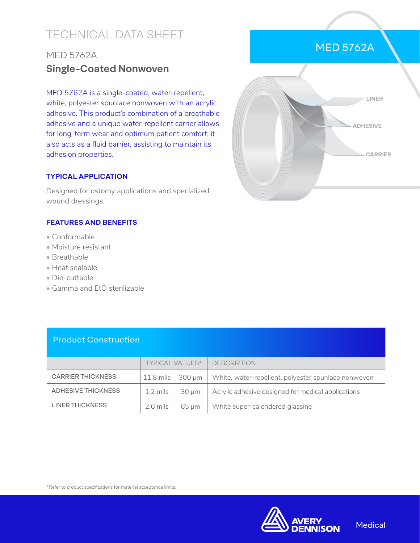# TECHNICAL DATA SHEET

## MED 5762A **Single-Coated Nonwoven**

MED 5762A is a single-coated, water-repellent, white, polyester spunlace nonwoven with an acrylic adhesive. This product's combination of a breathable adhesive and a unique water-repellent carrier allows for long-term wear and optimum patient comfort; it also acts as a fluid barrier, assisting to maintain its adhesion properties.

#### **TYPICAL APPLICATION**

Designed for ostomy applications and specialized wound dressings.

#### **FEATURES AND BENEFITS**

- Conformable
- Moisture resistant
- Breathable
- Heat sealable
- Die-cuttable
- Gamma and EtO sterilizable



MED 5762A

### Product Construction

|                          | <b>TYPICAL VALUES*</b> |            | <b>DESCRIPTION</b>                                  |
|--------------------------|------------------------|------------|-----------------------------------------------------|
| <b>CARRIER THICKNESS</b> | $11.8$ mils            | 300 µm     | White, water-repellent, polyester spunlace nonwoven |
| ADHESIVE THICKNESS       | 1.2 mils               | $30 \mu m$ | Acrylic adhesive designed for medical applications  |
| <b>LINER THICKNESS</b>   | 2.6 mils               | $65 \mu m$ | White super-calendered glassine                     |

\*Refer to product specifications for material acceptance limits.